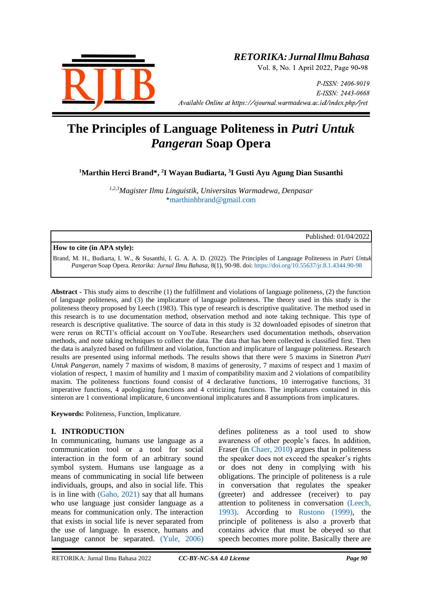

# *RETORIKA:JurnalIlmuBahasa*

Vol. 8, No. 1 April 2022, Page 90-98

P-ISSN: 2406-9019 E-ISSN: 2443-0668 *Available Online at https://ejournal.warmadewa.ac.id/index.php/jret* 

# **The Principles of Language Politeness in** *Putri Untuk Pangeran* **Soap Opera**

**<sup>1</sup>Marthin Herci Brand\*, 2 I Wayan Budiarta, <sup>3</sup> I Gusti Ayu Agung Dian Susanthi**

*1,2,3Magister Ilmu Linguistik, Universitas Warmadewa, Denpasar* \*[marthinhbrand@gmail.com](mailto:marthinhbrand@gmail.com)

Published: 01/04/2022

#### **How to cite (in APA style):**

Brand, M. H., Budiarta, I. W., & Susanthi, I. G. A. A. D. (2022). The Principles of Language Politeness in *Putri Untuk Pangeran* Soap Opera. *Retorika: Jurnal Ilmu Bahasa*, 8(1), 90-98. doi:<https://doi.org/10.55637/jr.8.1.4344.90-98>

**Abstract -** This study aims to describe (1) the fulfillment and violations of language politeness, (2) the function of language politeness, and (3) the implicature of language politeness. The theory used in this study is the politeness theory proposed by Leech (1983). This type of research is descriptive qualitative. The method used in this research is to use documentation method, observation method and note taking technique. This type of research is descriptive qualitative. The source of data in this study is 32 downloaded episodes of sinetron that were rerun on RCTI's official account on YouTube. Researchers used documentation methods, observation methods, and note taking techniques to collect the data. The data that has been collected is classified first. Then the data is analyzed based on fufillment and violation, function and implicature of language politeness. Research results are presented using informal methods. The results shows that there were 5 maxims in Sinetron *Putri Untuk Pangeran*, namely 7 maxims of wisdom, 8 maxims of generosity, 7 maxims of respect and 1 maxim of violation of respect, 1 maxim of humility and 1 maxim of compatibility maxim and 2 violations of compatibility maxim. The politeness functions found consist of 4 declarative functions, 10 interrogative functions, 31 imperative functions, 4 apologizing functions and 4 criticizing functions. The implicatures contained in this sinteron are 1 conventional implicature, 6 unconventional implicatures and 8 assumptions from implicatures.

**Keywords:** Politeness, Function, Implicature.

#### **I. INTRODUCTION**

In communicating, humans use language as a communication tool or a tool for social interaction in the form of an arbitrary sound symbol system. Humans use language as a means of communicating in social life between individuals, groups, and also in social life. This is in line with [\(Gaho, 2021\)](#page-7-0) say that all humans who use language just consider language as a means for communication only. The interaction that exists in social life is never separated from the use of language. In essence, humans and language cannot be separated. [\(Yule, 2006\)](#page-7-0)

defines politeness as a tool used to show awareness of other people's faces. In addition, Fraser (in [Chaer, 2010\)](#page-7-0) argues that in politeness the speaker does not exceed the speaker's rights or does not deny in complying with his obligations. The principle of politeness is a rule in conversation that regulates the speaker (greeter) and addressee (receiver) to pay attention to politeness in conversation [\(Leech,](#page-7-0)  1993). According to [Rustono](#page-7-0) (1999), the principle of politeness is also a proverb that contains advice that must be obeyed so that speech becomes more polite. Basically there are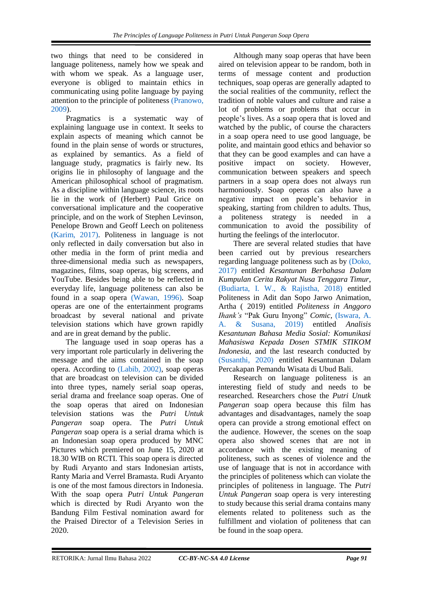two things that need to be considered in language politeness, namely how we speak and with whom we speak. As a language user, everyone is obliged to maintain ethics in communicating using polite language by paying attention to the principle of politeness [\(Pranowo,](#page-7-0)  [2009\)](#page-7-0).

Pragmatics is a systematic way of explaining language use in context. It seeks to explain aspects of meaning which cannot be found in the plain sense of words or structures, as explained by semantics. As a field of language study, pragmatics is fairly new. Its origins lie in philosophy of language and the American philosophical school of pragmatism. As a discipline within language science, its roots lie in the work of (Herbert) Paul Grice on conversational implicature and the cooperative principle, and on the work of Stephen Levinson, Penelope Brown and Geoff Leech on politeness [\(Karim, 2017\).](#page-7-0) Politeness in language is not only reflected in daily conversation but also in other media in the form of print media and three-dimensional media such as newspapers, magazines, films, soap operas, big screens, and YouTube. Besides being able to be reflected in everyday life, language politeness can also be found in a soap opera [\(Wawan, 1996\).](#page-7-0) Soap operas are one of the entertainment programs broadcast by several national and private television stations which have grown rapidly and are in great demand by the public.

The language used in soap operas has a very important role particularly in delivering the message and the aims contained in the soap opera. According to [\(Labib, 2002\),](#page-7-0) soap operas that are broadcast on television can be divided into three types, namely serial soap operas, serial drama and freelance soap operas. One of the soap operas that aired on Indonesian television stations was the *Putri Untuk Pangeran* soap opera. The *Putri Untuk Pangeran* soap opera is a serial drama which is an Indonesian soap opera produced by MNC Pictures which premiered on June 15, 2020 at 18.30 WIB on RCTI. This soap opera is directed by Rudi Aryanto and stars Indonesian artists, Ranty Maria and Verrel Bramasta. Rudi Aryanto is one of the most famous directors in Indonesia. With the soap opera *Putri Untuk Pangeran* which is directed by Rudi Aryanto won the Bandung Film Festival nomination award for the Praised Director of a Television Series in 2020.

Although many soap operas that have been aired on television appear to be random, both in terms of message content and production techniques, soap operas are generally adapted to the social realities of the community, reflect the tradition of noble values and culture and raise a lot of problems or problems that occur in people's lives. As a soap opera that is loved and watched by the public, of course the characters in a soap opera need to use good language, be polite, and maintain good ethics and behavior so that they can be good examples and can have a positive impact on society. However, communication between speakers and speech partners in a soap opera does not always run harmoniously. Soap operas can also have a negative impact on people's behavior in speaking, starting from children to adults. Thus, a politeness strategy is needed in a communication to avoid the possibility of hurting the feelings of the interlocutor.

There are several related studies that have been carried out by previous researchers regarding language politeness such as by [\(Doko,](#page-7-0)  2017) entitled *Kesantunan Berbahasa Dalam Kumpulan Cerita Rakyat Nusa Tenggara Timur*, [\(Budiarta, I. W., & Rajistha, 2018\)](#page-7-0) entitled Politeness in Adit dan Sopo Jarwo Animation, Artha ( 2019) entitled *Politeness in Anggoro Ihank's* "Pak Guru Inyong" *Comic*, [\(Iswara, A.](#page-7-0)  A. & Susana, 2019) entitled *Analisis Kesantunan Bahasa Media Sosial: Komunikasi Mahasiswa Kepada Dosen STMIK STIKOM Indonesia*, and the last research conducted by [\(Susanthi, 2020\)](#page-7-0) entitled Kesantunan Dalam Percakapan Pemandu Wisata di Ubud Bali.

Research on language politeness is an interesting field of study and needs to be researched. Researchers chose the *Putri Unutk Pangeran* soap opera because this film has advantages and disadvantages, namely the soap opera can provide a strong emotional effect on the audience. However, the scenes on the soap opera also showed scenes that are not in accordance with the existing meaning of politeness, such as scenes of violence and the use of language that is not in accordance with the principles of politeness which can violate the principles of politeness in language. The *Putri Untuk Pangeran* soap opera is very interesting to study because this serial drama contains many elements related to politeness such as the fulfillment and violation of politeness that can be found in the soap opera.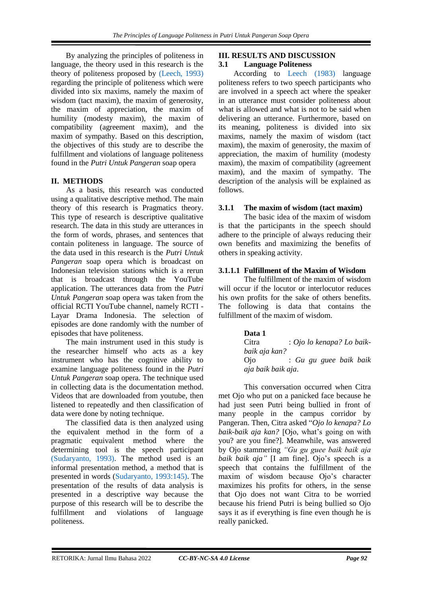By analyzing the principles of politeness in language, the theory used in this research is the theory of politeness proposed by [\(Leech, 1993\)](#page-7-0) regarding the principle of politeness which were divided into six maxims, namely the maxim of wisdom (tact maxim), the maxim of generosity, the maxim of appreciation, the maxim of humility (modesty maxim), the maxim of compatibility (agreement maxim), and the maxim of sympathy. Based on this description, the objectives of this study are to describe the fulfillment and violations of language politeness found in the *Putri Untuk Pangeran* soap opera

# **II. METHODS**

As a basis, this research was conducted using a qualitative descriptive method. The main theory of this research is Pragmatics theory. This type of research is descriptive qualitative research. The data in this study are utterances in the form of words, phrases, and sentences that contain politeness in language. The source of the data used in this research is the *Putri Untuk Pangeran* soap opera which is broadcast on Indonesian television stations which is a rerun that is broadcast through the YouTube application. The utterances data from the *Putri Untuk Pangeran* soap opera was taken from the official RCTI YouTube channel, namely RCTI - Layar Drama Indonesia. The selection of episodes are done randomly with the number of episodes that have politeness.

The main instrument used in this study is the researcher himself who acts as a key instrument who has the cognitive ability to examine language politeness found in the *Putri Untuk Pangeran* soap opera. The technique used in collecting data is the documentation method. Videos that are downloaded from youtube, then listened to repeatedly and then classification of data were done by noting technique.

The classified data is then analyzed using the equivalent method in the form of a pragmatic equivalent method where the determining tool is the speech participant [\(Sudaryanto, 1993\).](#page-7-0) The method used is an informal presentation method, a method that is presented in words [\(Sudaryanto, 1993:145\).](#page-7-0) The presentation of the results of data analysis is presented in a descriptive way because the purpose of this research will be to describe the fulfillment and violations of language politeness.

# **III. RESULTS AND DISCUSSION**

#### **3.1 Language Politeness**

According to [Leech \(1983\)](#page-7-0) language politeness refers to two speech participants who are involved in a speech act where the speaker in an utterance must consider politeness about what is allowed and what is not to be said when delivering an utterance. Furthermore, based on its meaning, politeness is divided into six maxims, namely the maxim of wisdom (tact maxim), the maxim of generosity, the maxim of appreciation, the maxim of humility (modesty maxim), the maxim of compatibility (agreement maxim), and the maxim of sympathy. The description of the analysis will be explained as follows.

# **3.1.1 The maxim of wisdom (tact maxim)**

The basic idea of the maxim of wisdom is that the participants in the speech should adhere to the principle of always reducing their own benefits and maximizing the benefits of others in speaking activity.

# **3.1.1.1 Fulfillment of the Maxim of Wisdom**

The fulfillment of the maxim of wisdom will occur if the locutor or interlocutor reduces his own profits for the sake of others benefits. The following is data that contains the fulfillment of the maxim of wisdom.

#### **Data 1**

Citra : *Ojo lo kenapa? Lo baikbaik aja kan?* Ojo : *Gu gu guee baik baik aja baik baik aja*.

This conversation occurred when Citra met Ojo who put on a panicked face because he had just seen Putri being bullied in front of many people in the campus corridor by Pangeran. Then, Citra asked "*Ojo lo kenapa? Lo baik-baik aja kan?* [Ojo, what's going on with you? are you fine?]. Meanwhile, was answered by Ojo stammering *"Gu gu guee baik baik aja baik baik aja"* [I am fine]. Ojo's speech is a speech that contains the fulfillment of the maxim of wisdom because Ojo's character maximizes his profits for others, in the sense that Ojo does not want Citra to be worried because his friend Putri is being bullied so Ojo says it as if everything is fine even though he is really panicked.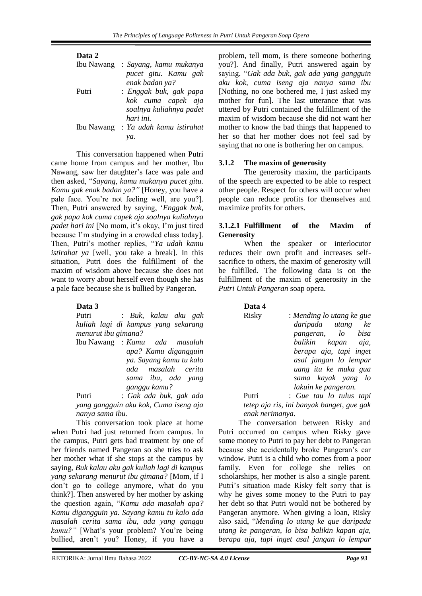| Data 2     |                                        |
|------------|----------------------------------------|
| Ibu Nawang | : Sayang, kamu mukanya                 |
|            | pucet gitu. Kamu gak<br>enak badan ya? |
| Putri      | : Enggak buk, gak papa                 |
|            | kok cuma capek aja                     |
|            | soalnya kuliahnya padet                |
|            | hari ini.                              |
| Ibu Nawang | : Ya udah kamu istirahat               |
|            | va.                                    |

This conversation happened when Putri came home from campus and her mother, Ibu Nawang, saw her daughter's face was pale and then asked, "*Sayang, kamu mukanya pucet gitu. Kamu gak enak badan ya?"* [Honey, you have a pale face. You're not feeling well, are you?]. Then, Putri answered by saying, '*Enggak buk, gak papa kok cuma capek aja soalnya kuliahnya padet hari ini* [No mom, it's okay, I'm just tired because I'm studying in a crowded class today]. Then, Putri's mother replies, "*Ya udah kamu istirahat ya* [well, you take a break]. In this situation, Putri does the fulfillment of the maxim of wisdom above because she does not want to worry about herself even though she has a pale face because she is bullied by Pangeran.

#### **Data 3**

Putri : *Buk, kalau aku gak kuliah lagi di kampus yang sekarang menurut ibu gimana?*

Ibu Nawang : *Kamu ada masalah apa? Kamu digangguin ya. Sayang kamu tu kalo ada masalah cerita sama ibu, ada yang ganggu kamu?*

Putri : *Gak ada buk, gak ada yang gangguin aku kok, Cuma iseng aja nanya sama ibu.*

This conversation took place at home when Putri had just returned from campus. In the campus, Putri gets bad treatment by one of her friends named Pangeran so she tries to ask her mother what if she stops at the campus by saying, *Buk kalau aku gak kuliah lagi di kampus yang sekarang menurut ibu gimana?* [Mom, if I don't go to college anymore, what do you think?]. Then answered by her mother by asking the question again, "*Kamu ada masalah apa? Kamu digangguin ya. Sayang kamu tu kalo ada masalah cerita sama ibu, ada yang ganggu kamu?"* [What's your problem? You're being bullied, aren't you? Honey, if you have a problem, tell mom, is there someone bothering you?]. And finally, Putri answered again by saying, "*Gak ada buk, gak ada yang gangguin aku kok, cuma iseng aja nanya sama ibu* [Nothing, no one bothered me, I just asked my mother for fun]. The last utterance that was uttered by Putri contained the fulfillment of the maxim of wisdom because she did not want her mother to know the bad things that happened to her so that her mother does not feel sad by saying that no one is bothering her on campus.

# **3.1.2 The maxim of generosity**

The generosity maxim, the participants of the speech are expected to be able to respect other people. Respect for others will occur when people can reduce profits for themselves and maximize profits for others.

#### **3.1.2.1 Fulfillment of the Maxim of Generosity**

When the speaker or interlocutor reduces their own profit and increases selfsacrifice to others, the maxim of generosity will be fulfilled. The following data is on the fulfillment of the maxim of generosity in the *Putri Untuk Pangeran* soap opera.

| <b>Jata</b> |  |
|-------------|--|
|             |  |

Risky : *Mending lo utang ke gue daripada utang ke pangeran, lo bisa balikin kapan aja, berapa aja, tapi inget asal jangan lo lempar uang itu ke muka gua sama kayak yang lo lakuin ke pangeran.*

Putri : *Gue tau lo tulus tapi tetep aja ris, ini banyak banget, gue gak enak nerimanya*.

The conversation between Risky and Putri occurred on campus when Risky gave some money to Putri to pay her debt to Pangeran because she accidentally broke Pangeran's car window. Putri is a child who comes from a poor family. Even for college she relies on scholarships, her mother is also a single parent. Putri's situation made Risky felt sorry that is why he gives some money to the Putri to pay her debt so that Putri would not be bothered by Pangeran anymore. When giving a loan, Risky also said, "*Mending lo utang ke gue daripada utang ke pangeran, lo bisa balikin kapan aja, berapa aja, tapi inget asal jangan lo lempar*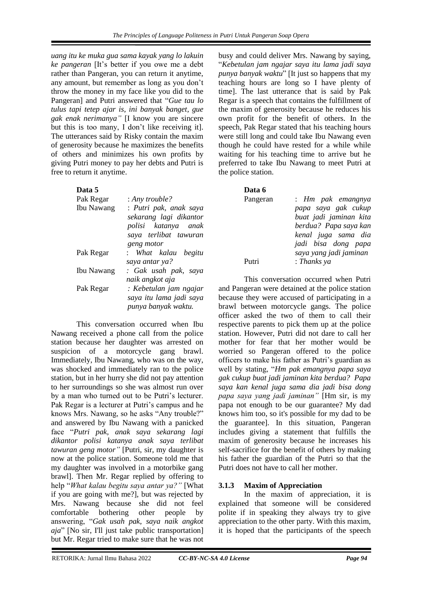*uang itu ke muka gua sama kayak yang lo lakuin ke pangeran* [It's better if you owe me a debt rather than Pangeran, you can return it anytime, any amount, but remember as long as you don't throw the money in my face like you did to the Pangeran] and Putri answered that "*Gue tau lo tulus tapi tetep ajar is, ini banyak banget, gue gak enak nerimanya"* [I know you are sincere but this is too many, I don't like receiving it]. The utterances said by Risky contain the maxim of generosity because he maximizes the benefits of others and minimizes his own profits by giving Putri money to pay her debts and Putri is free to return it anytime.

# **Data 5**

| Pak Regar  | : Any trouble?          |
|------------|-------------------------|
| Ibu Nawang | : Putri pak, anak saya  |
|            | sekarang lagi dikantor  |
|            | polisi katanya anak     |
|            | saya terlibat tawuran   |
|            | geng motor              |
| Pak Regar  | : What kalau begitu     |
|            | saya antar ya?          |
| Ibu Nawang | : Gak usah pak, saya    |
|            | naik angkot aja         |
| Pak Regar  | : Kebetulan jam ngajar  |
|            | saya itu lama jadi saya |
|            | punya banyak waktu.     |

This conversation occurred when Ibu Nawang received a phone call from the police station because her daughter was arrested on suspicion of a motorcycle gang brawl. Immediately, Ibu Nawang, who was on the way, was shocked and immediately ran to the police station, but in her hurry she did not pay attention to her surroundings so she was almost run over by a man who turned out to be Putri's lecturer. Pak Regar is a lecturer at Putri's campus and he knows Mrs. Nawang, so he asks "Any trouble?" and answered by Ibu Nawang with a panicked face "*Putri pak, anak saya sekarang lagi dikantor polisi katanya anak saya terlibat tawuran geng motor"* [Putri, sir, my daughter is now at the police station. Someone told me that my daughter was involved in a motorbike gang brawl]. Then Mr. Regar replied by offering to help "*What kalau begitu saya antar ya?"* [What if you are going with me?], but was rejected by Mrs. Nawang because she did not feel comfortable bothering other people by answering, "*Gak usah pak, saya naik angkot aja*" [No sir, I'll just take public transportation] but Mr. Regar tried to make sure that he was not

busy and could deliver Mrs. Nawang by saying, "*Kebetulan jam ngajar saya itu lama jadi saya punya banyak waktu*" [It just so happens that my teaching hours are long so I have plenty of time]. The last utterance that is said by Pak Regar is a speech that contains the fulfillment of the maxim of generosity because he reduces his own profit for the benefit of others. In the speech, Pak Regar stated that his teaching hours were still long and could take Ibu Nawang even though he could have rested for a while while waiting for his teaching time to arrive but he preferred to take Ibu Nawang to meet Putri at the police station.

# **Data 6**

Pangeran : *Hm pak emangnya papa saya gak cukup buat jadi jaminan kita berdua? Papa saya kan kenal juga sama dia jadi bisa dong papa saya yang jadi jaminan* Putri : *Thanks ya*

This conversation occurred when Putri and Pangeran were detained at the police station because they were accused of participating in a brawl between motorcycle gangs. The police officer asked the two of them to call their respective parents to pick them up at the police station. However, Putri did not dare to call her mother for fear that her mother would be worried so Pangeran offered to the police officers to make his father as Putri's guardian as well by stating, "*Hm pak emangnya papa saya gak cukup buat jadi jaminan kita berdua? Papa saya kan kenal juga sama dia jadi bisa dong papa saya yang jadi jaminan"* [Hm sir, is my papa not enough to be our guarantee? My dad knows him too, so it's possible for my dad to be the guarantee]. In this situation, Pangeran includes giving a statement that fulfills the maxim of generosity because he increases his self-sacrifice for the benefit of others by making his father the guardian of the Putri so that the Putri does not have to call her mother.

# **3.1.3 Maxim of Appreciation**

In the maxim of appreciation, it is explained that someone will be considered polite if in speaking they always try to give appreciation to the other party. With this maxim, it is hoped that the participants of the speech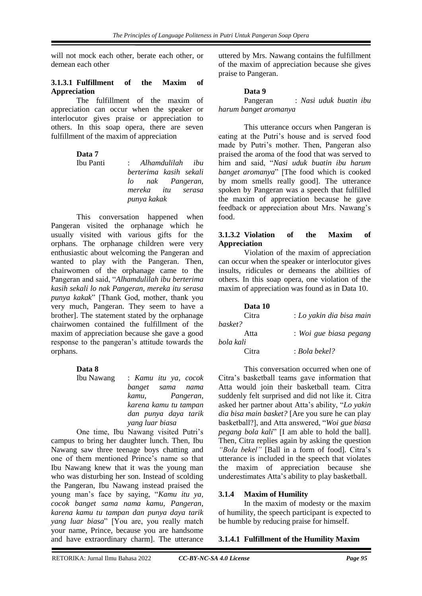will not mock each other, berate each other, or demean each other

#### **3.1.3.1 Fulfillment of the Maxim of Appreciation**

The fulfillment of the maxim of appreciation can occur when the speaker or interlocutor gives praise or appreciation to others. In this soap opera, there are seven fulfillment of the maxim of appreciation

**Data 7**

Ibu Panti : *Alhamdulilah ibu berterima kasih sekali lo nak Pangeran, mereka itu serasa punya kakak*

This conversation happened when Pangeran visited the orphanage which he usually visited with various gifts for the orphans. The orphanage children were very enthusiastic about welcoming the Pangeran and wanted to play with the Pangeran. Then, chairwomen of the orphanage came to the Pangeran and said, "*Alhamdulilah ibu berterima kasih sekali lo nak Pangeran, mereka itu serasa punya kakak*" [Thank God, mother, thank you very much, Pangeran. They seem to have a brother]. The statement stated by the orphanage chairwomen contained the fulfillment of the maxim of appreciation because she gave a good response to the pangeran's attitude towards the orphans.

#### **Data 8**

Ibu Nawang : *Kamu itu ya, cocok banget sama nama kamu, Pangeran, karena kamu tu tampan dan punya daya tarik yang luar biasa*

One time, Ibu Nawang visited Putri's campus to bring her daughter lunch. Then, Ibu Nawang saw three teenage boys chatting and one of them mentioned Prince's name so that Ibu Nawang knew that it was the young man who was disturbing her son. Instead of scolding the Pangeran, Ibu Nawang instead praised the young man's face by saying, "*Kamu itu ya, cocok banget sama nama kamu, Pangeran, karena kamu tu tampan dan punya daya tarik yang luar biasa*" [You are, you really match your name, Prince, because you are handsome and have extraordinary charm]. The utterance

uttered by Mrs. Nawang contains the fulfillment of the maxim of appreciation because she gives praise to Pangeran.

#### **Data 9**

Pangeran : *Nasi uduk buatin ibu harum banget aromanya*

This utterance occurs when Pangeran is eating at the Putri's house and is served food made by Putri's mother. Then, Pangeran also praised the aroma of the food that was served to him and said, "*Nasi uduk buatin ibu harum banget aromanya*" [The food which is cooked by mom smells really good]. The utterance spoken by Pangeran was a speech that fulfilled the maxim of appreciation because he gave feedback or appreciation about Mrs. Nawang's food.

#### **3.1.3.2 Violation of the Maxim of Appreciation**

Violation of the maxim of appreciation can occur when the speaker or interlocutor gives insults, ridicules or demeans the abilities of others. In this soap opera, one violation of the maxim of appreciation was found as in Data 10.

| Data 10   |                          |
|-----------|--------------------------|
| Citra     | : Lo yakin dia bisa main |
| basket?   |                          |
| Atta      | : Woi gue biasa pegang   |
| bola kali |                          |
| Citra     | : Bola bekel?            |

This conversation occurred when one of Citra's basketball teams gave information that Atta would join their basketball team. Citra suddenly felt surprised and did not like it. Citra asked her partner about Atta's ability, "*Lo yakin dia bisa main basket?* [Are you sure he can play basketball?], and Atta answered, "*Woi gue biasa pegang bola kali*" [I am able to hold the ball]. Then, Citra replies again by asking the question *"Bola bekel"* [Ball in a form of food]. Citra's utterance is included in the speech that violates the maxim of appreciation because she underestimates Atta's ability to play basketball.

#### **3.1.4 Maxim of Humility**

In the maxim of modesty or the maxim of humility, the speech participant is expected to be humble by reducing praise for himself.

### **3.1.4.1 Fulfillment of the Humility Maxim**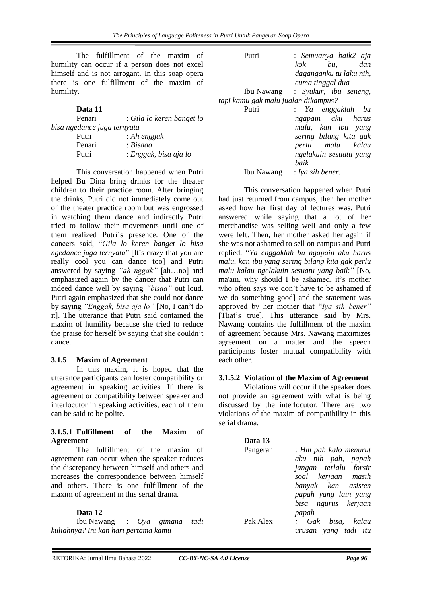The fulfillment of the maxim of humility can occur if a person does not excel himself and is not arrogant. In this soap opera there is one fulfillment of the maxim of humility.

#### **Data 11**

| Penari                      | : Gila lo keren banget lo |
|-----------------------------|---------------------------|
| bisa ngedance juga ternyata |                           |
| Putri                       | : Ah enggak               |
| Penari                      | : Bisaaa                  |
| Putri                       | : Enggak, bisa aja lo     |
|                             |                           |

This conversation happened when Putri helped Bu Dina bring drinks for the theater children to their practice room. After bringing the drinks, Putri did not immediately come out of the theater practice room but was engrossed in watching them dance and indirectly Putri tried to follow their movements until one of them realized Putri's presence. One of the dancers said, "*Gila lo keren banget lo bisa ngedance juga ternyata*" [It's crazy that you are really cool you can dance too] and Putri answered by saying *"ah nggak"* [ah…no] and emphasized again by the dancer that Putri can indeed dance well by saying *"bisaa"* out loud. Putri again emphasized that she could not dance by saying *"Enggak, bisa aja lo"* [No, I can't do it]. The utterance that Putri said contained the maxim of humility because she tried to reduce the praise for herself by saying that she couldn't dance.

# **3.1.5 Maxim of Agreement**

In this maxim, it is hoped that the utterance participants can foster compatibility or agreement in speaking activities. If there is agreement or compatibility between speaker and interlocutor in speaking activities, each of them can be said to be polite.

#### **3.1.5.1 Fulfillment of the Maxim of Agreement**

The fulfillment of the maxim of agreement can occur when the speaker reduces the discrepancy between himself and others and increases the correspondence between himself and others. There is one fulfillment of the maxim of agreement in this serial drama.

**Data 12** Ibu Nawang : *Oya gimana tadi kuliahnya? Ini kan hari pertama kamu*

| Putri                               | : Semuanya baik2 aja             |
|-------------------------------------|----------------------------------|
|                                     | kok bu,<br>dan                   |
|                                     | daganganku tu laku nih,          |
|                                     | cuma tinggal dua                 |
|                                     | Ibu Nawang : Syukur, ibu seneng, |
| tapi kamu gak malu jualan dikampus? |                                  |
| Putri                               | : Ya enggaklah bu                |
|                                     | ngapain aku harus                |
|                                     | malu, kan ibu yang               |
|                                     | sering bilang kita gak           |
|                                     | perlu malu kalau                 |
|                                     | ngelakuin sesuatu yang           |
|                                     | baik                             |
| Ibu Nawang                          | : Iya sih bener.                 |

This conversation happened when Putri had just returned from campus, then her mother asked how her first day of lectures was. Putri answered while saying that a lot of her merchandise was selling well and only a few were left. Then, her mother asked her again if she was not ashamed to sell on campus and Putri replied, "*Ya enggaklah bu ngapain aku harus malu, kan ibu yang sering bilang kita gak perlu malu kalau ngelakuin sesuatu yang baik"* [No, ma'am, why should I be ashamed, it's mother who often says we don't have to be ashamed if we do something good] and the statement was approved by her mother that "*Iya sih bener"* [That's true]. This utterance said by Mrs. Nawang contains the fulfillment of the maxim of agreement because Mrs. Nawang maximizes agreement on a matter and the speech participants foster mutual compatibility with each other.

# **3.1.5.2 Violation of the Maxim of Agreement**

Violations will occur if the speaker does not provide an agreement with what is being discussed by the interlocutor. There are two violations of the maxim of compatibility in this serial drama.

| Data 13  |                       |
|----------|-----------------------|
| Pangeran | : Hm pah kalo menurut |
|          | aku nih pah, papah    |
|          | jangan terlalu forsir |
|          | soal kerjaan masih    |
|          | banyak kan asisten    |
|          | papah yang lain yang  |
|          | bisa ngurus kerjaan   |
|          | papah                 |
| Pak Alex | : Gak bisa, kalau     |
|          | urusan yang tadi itu  |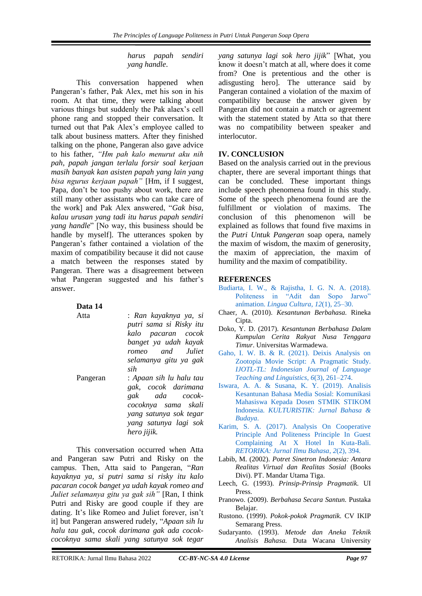*harus papah sendiri yang handle*.

This conversation happened when Pangeran's father, Pak Alex, met his son in his room. At that time, they were talking about various things but suddenly the Pak alaex's cell phone rang and stopped their conversation. It turned out that Pak Alex's employee called to talk about business matters. After they finished talking on the phone, Pangeran also gave advice to his father, *"Hm pah kalo menurut aku nih pah, papah jangan terlalu forsir soal kerjaan masih banyak kan asisten papah yang lain yang bisa ngurus kerjaan papah"* [Hm, if I suggest, Papa, don't be too pushy about work, there are still many other assistants who can take care of the work] and Pak Alex answered, "*Gak bisa, kalau urusan yang tadi itu harus papah sendiri yang handle*" [No way, this business should be handle by myself]. The utterances spoken by Pangeran's father contained a violation of the maxim of compatibility because it did not cause a match between the responses stated by Pangeran. There was a disagreement between what Pangeran suggested and his father's answer.

| Data 14 |  |
|---------|--|
|         |  |

Atta : *Ran kayaknya ya, si putri sama si Risky itu kalo pacaran cocok banget ya udah kayak romeo and Juliet selamanya gitu ya gak sih*

Pangeran : *Apaan sih lu halu tau gak, cocok darimana gak ada cocokcocoknya sama skali yang satunya sok tegar yang satunya lagi sok hero jijik.*

This conversation occurred when Atta and Pangeran saw Putri and Risky on the campus. Then, Atta said to Pangeran, "*Ran kayaknya ya, si putri sama si risky itu kalo pacaran cocok banget ya udah kayak romeo and Juliet selamanya gitu ya gak sih"* [Ran, I think Putri and Risky are good couple if they are dating. It's like Romeo and Juliet forever, isn't it] but Pangeran answered rudely, "*Apaan sih lu halu tau gak, cocok darimana gak ada cocokcocoknya sama skali yang satunya sok tegar* 

*yang satunya lagi sok hero jijik*" [What, you know it doesn't match at all, where does it come from? One is pretentious and the other is adisgusting hero]. The utterance said by Pangeran contained a violation of the maxim of compatibility because the answer given by Pangeran did not contain a match or agreement with the statement stated by Atta so that there was no compatibility between speaker and interlocutor.

# **IV. CONCLUSION**

Based on the analysis carried out in the previous chapter, there are several important things that can be concluded. These important things include speech phenomena found in this study. Some of the speech phenomena found are the fulfillment or violation of maxims. The conclusion of this phenomenon will be explained as follows that found five maxims in the *Putri Untuk Pangeran* soap opera, namely the maxim of wisdom, the maxim of generosity, the maxim of appreciation, the maxim of humility and the maxim of compatibility.

# <span id="page-7-0"></span>**REFERENCES**

- [Budiarta, I. W., & Rajistha, I. G. N. A. \(2018\).](https://r.search.yahoo.com/_ylt=Awrx5Zbzaj1ii2sAhQ33RQx.;_ylu=Y29sbwMEcG9zAzEEdnRpZAMEc2VjA3Ny/RV=2/RE=1648221044/RO=10/RU=https%3a%2f%2fjournal.binus.ac.id%2findex.php%2fLingua%2farticle%2fdownload%2f1822%2f3293%2f15525/RK=2/RS=6JMuoL54PylYh4fYtIqPmM9ouHU-)  [Politeness in "Adit dan Sopo Jarwo"](https://r.search.yahoo.com/_ylt=Awrx5Zbzaj1ii2sAhQ33RQx.;_ylu=Y29sbwMEcG9zAzEEdnRpZAMEc2VjA3Ny/RV=2/RE=1648221044/RO=10/RU=https%3a%2f%2fjournal.binus.ac.id%2findex.php%2fLingua%2farticle%2fdownload%2f1822%2f3293%2f15525/RK=2/RS=6JMuoL54PylYh4fYtIqPmM9ouHU-)  animation. *[Lingua Cultura](https://r.search.yahoo.com/_ylt=Awrx5Zbzaj1ii2sAhQ33RQx.;_ylu=Y29sbwMEcG9zAzEEdnRpZAMEc2VjA3Ny/RV=2/RE=1648221044/RO=10/RU=https%3a%2f%2fjournal.binus.ac.id%2findex.php%2fLingua%2farticle%2fdownload%2f1822%2f3293%2f15525/RK=2/RS=6JMuoL54PylYh4fYtIqPmM9ouHU-)*, *12*(1), 25–30.
- Chaer, A. (2010). *Kesantunan Berbahasa.* Rineka Cipta.
- Doko, Y. D. (2017). *Kesantunan Berbahasa Dalam Kumpulan Cerita Rakyat Nusa Tenggara Timur*. Universitas Warmadewa.
- [Gaho, I. W. B. & R. \(2021\). Deixis Analysis on](https://ijotl-tl.soloclcs.org/index.php/ijoltl/article/view/682)  [Zootopia Movie Script: A Pragmatic Study.](https://ijotl-tl.soloclcs.org/index.php/ijoltl/article/view/682)  *[IJOTL-TL: Indonesian Journal of Language](https://ijotl-tl.soloclcs.org/index.php/ijoltl/article/view/682)  [Teaching and Linguistics](https://ijotl-tl.soloclcs.org/index.php/ijoltl/article/view/682)*, *6*(3), 261–274.
- [Iswara, A. A. & Susana, K. Y. \(2019\).](https://www.academia.edu/72605821/The_Portrait_of_Social_Media_on_Students_Lifestyle_and_Education_Culture) Analisis [Kesantunan Bahasa Media Sosial: Komunikasi](https://www.academia.edu/72605821/The_Portrait_of_Social_Media_on_Students_Lifestyle_and_Education_Culture)  [Mahasiswa Kepada Dosen STMIK STIKOM](https://www.academia.edu/72605821/The_Portrait_of_Social_Media_on_Students_Lifestyle_and_Education_Culture)  Indonesia. *[KULTURISTIK: Jurnal Bahasa &](https://www.academia.edu/72605821/The_Portrait_of_Social_Media_on_Students_Lifestyle_and_Education_Culture)  [Budaya](https://www.academia.edu/72605821/The_Portrait_of_Social_Media_on_Students_Lifestyle_and_Education_Culture)*.
- [Karim, S. A. \(2017\). Analysis On Cooperative](https://www.ejournal.warmadewa.ac.id/index.php/jret/article/view/68)  [Principle And Politeness Principle In Guest](https://www.ejournal.warmadewa.ac.id/index.php/jret/article/view/68)  [Complaining At X Hotel In Kuta-Bali.](https://www.ejournal.warmadewa.ac.id/index.php/jret/article/view/68)  *[RETORIKA: Jurnal Ilmu Bahasa](https://www.ejournal.warmadewa.ac.id/index.php/jret/article/view/68)*, *2*(2), 394.
- Labib, M. (2002). *Potret Sinetron Indonesia: Antara Realitas Virtual dan Realitas Sosial* (Books Divi). PT. Mandar Utama Tiga.
- Leech, G. (1993). *Prinsip-Prinsip Pragmatik.* UI Press.
- Pranowo. (2009). *Berbahasa Secara Santun.* Pustaka Belajar.
- Rustono. (1999). *Pokok-pokok Pragmatik.* CV IKIP Semarang Press.
- Sudaryanto. (1993). *Metode dan Aneka Teknik Analisis Bahasa.* Duta Wacana University